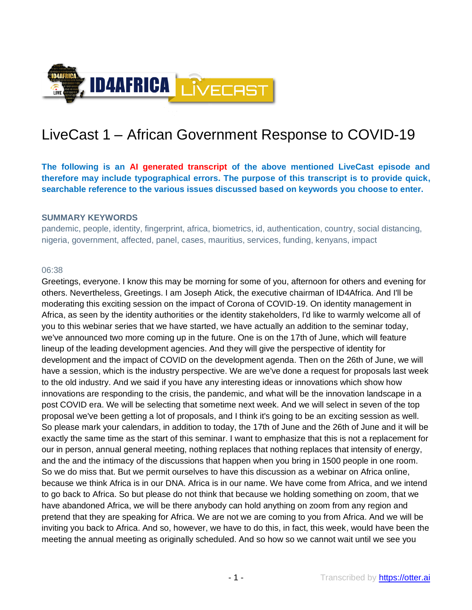

# LiveCast 1 – African Government Response to COVID-19

**The following is an AI generated transcript of the above mentioned LiveCast episode and therefore may include typographical errors. The purpose of this transcript is to provide quick, searchable reference to the various issues discussed based on keywords you choose to enter.**

#### **SUMMARY KEYWORDS**

pandemic, people, identity, fingerprint, africa, biometrics, id, authentication, country, social distancing, nigeria, government, affected, panel, cases, mauritius, services, funding, kenyans, impact

#### 06:38

Greetings, everyone. I know this may be morning for some of you, afternoon for others and evening for others. Nevertheless, Greetings. I am Joseph Atick, the executive chairman of ID4Africa. And I'll be moderating this exciting session on the impact of Corona of COVID-19. On identity management in Africa, as seen by the identity authorities or the identity stakeholders, I'd like to warmly welcome all of you to this webinar series that we have started, we have actually an addition to the seminar today, we've announced two more coming up in the future. One is on the 17th of June, which will feature lineup of the leading development agencies. And they will give the perspective of identity for development and the impact of COVID on the development agenda. Then on the 26th of June, we will have a session, which is the industry perspective. We are we've done a request for proposals last week to the old industry. And we said if you have any interesting ideas or innovations which show how innovations are responding to the crisis, the pandemic, and what will be the innovation landscape in a post COVID era. We will be selecting that sometime next week. And we will select in seven of the top proposal we've been getting a lot of proposals, and I think it's going to be an exciting session as well. So please mark your calendars, in addition to today, the 17th of June and the 26th of June and it will be exactly the same time as the start of this seminar. I want to emphasize that this is not a replacement for our in person, annual general meeting, nothing replaces that nothing replaces that intensity of energy, and the and the intimacy of the discussions that happen when you bring in 1500 people in one room. So we do miss that. But we permit ourselves to have this discussion as a webinar on Africa online, because we think Africa is in our DNA. Africa is in our name. We have come from Africa, and we intend to go back to Africa. So but please do not think that because we holding something on zoom, that we have abandoned Africa, we will be there anybody can hold anything on zoom from any region and pretend that they are speaking for Africa. We are not we are coming to you from Africa. And we will be inviting you back to Africa. And so, however, we have to do this, in fact, this week, would have been the meeting the annual meeting as originally scheduled. And so how so we cannot wait until we see you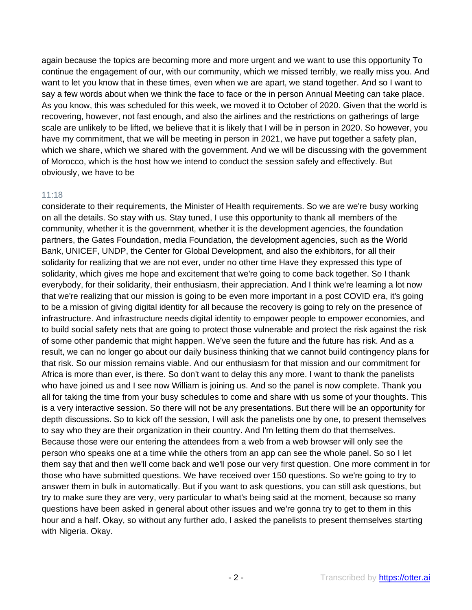again because the topics are becoming more and more urgent and we want to use this opportunity To continue the engagement of our, with our community, which we missed terribly, we really miss you. And want to let you know that in these times, even when we are apart, we stand together. And so I want to say a few words about when we think the face to face or the in person Annual Meeting can take place. As you know, this was scheduled for this week, we moved it to October of 2020. Given that the world is recovering, however, not fast enough, and also the airlines and the restrictions on gatherings of large scale are unlikely to be lifted, we believe that it is likely that I will be in person in 2020. So however, you have my commitment, that we will be meeting in person in 2021, we have put together a safety plan, which we share, which we shared with the government. And we will be discussing with the government of Morocco, which is the host how we intend to conduct the session safely and effectively. But obviously, we have to be

## 11:18

considerate to their requirements, the Minister of Health requirements. So we are we're busy working on all the details. So stay with us. Stay tuned, I use this opportunity to thank all members of the community, whether it is the government, whether it is the development agencies, the foundation partners, the Gates Foundation, media Foundation, the development agencies, such as the World Bank, UNICEF, UNDP, the Center for Global Development, and also the exhibitors, for all their solidarity for realizing that we are not ever, under no other time Have they expressed this type of solidarity, which gives me hope and excitement that we're going to come back together. So I thank everybody, for their solidarity, their enthusiasm, their appreciation. And I think we're learning a lot now that we're realizing that our mission is going to be even more important in a post COVID era, it's going to be a mission of giving digital identity for all because the recovery is going to rely on the presence of infrastructure. And infrastructure needs digital identity to empower people to empower economies, and to build social safety nets that are going to protect those vulnerable and protect the risk against the risk of some other pandemic that might happen. We've seen the future and the future has risk. And as a result, we can no longer go about our daily business thinking that we cannot build contingency plans for that risk. So our mission remains viable. And our enthusiasm for that mission and our commitment for Africa is more than ever, is there. So don't want to delay this any more. I want to thank the panelists who have joined us and I see now William is joining us. And so the panel is now complete. Thank you all for taking the time from your busy schedules to come and share with us some of your thoughts. This is a very interactive session. So there will not be any presentations. But there will be an opportunity for depth discussions. So to kick off the session, I will ask the panelists one by one, to present themselves to say who they are their organization in their country. And I'm letting them do that themselves. Because those were our entering the attendees from a web from a web browser will only see the person who speaks one at a time while the others from an app can see the whole panel. So so I let them say that and then we'll come back and we'll pose our very first question. One more comment in for those who have submitted questions. We have received over 150 questions. So we're going to try to answer them in bulk in automatically. But if you want to ask questions, you can still ask questions, but try to make sure they are very, very particular to what's being said at the moment, because so many questions have been asked in general about other issues and we're gonna try to get to them in this hour and a half. Okay, so without any further ado, I asked the panelists to present themselves starting with Nigeria. Okay.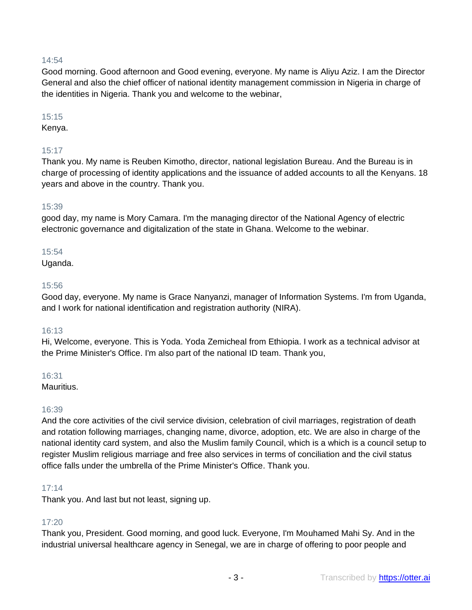## 14:54

Good morning. Good afternoon and Good evening, everyone. My name is Aliyu Aziz. I am the Director General and also the chief officer of national identity management commission in Nigeria in charge of the identities in Nigeria. Thank you and welcome to the webinar,

#### 15:15

Kenya.

## 15:17

Thank you. My name is Reuben Kimotho, director, national legislation Bureau. And the Bureau is in charge of processing of identity applications and the issuance of added accounts to all the Kenyans. 18 years and above in the country. Thank you.

## 15:39

good day, my name is Mory Camara. I'm the managing director of the National Agency of electric electronic governance and digitalization of the state in Ghana. Welcome to the webinar.

## 15:54

Uganda.

#### 15:56

Good day, everyone. My name is Grace Nanyanzi, manager of Information Systems. I'm from Uganda, and I work for national identification and registration authority (NIRA).

## 16:13

Hi, Welcome, everyone. This is Yoda. Yoda Zemicheal from Ethiopia. I work as a technical advisor at the Prime Minister's Office. I'm also part of the national ID team. Thank you,

#### 16:31

Mauritius.

#### 16:39

And the core activities of the civil service division, celebration of civil marriages, registration of death and rotation following marriages, changing name, divorce, adoption, etc. We are also in charge of the national identity card system, and also the Muslim family Council, which is a which is a council setup to register Muslim religious marriage and free also services in terms of conciliation and the civil status office falls under the umbrella of the Prime Minister's Office. Thank you.

#### 17:14

Thank you. And last but not least, signing up.

## 17:20

Thank you, President. Good morning, and good luck. Everyone, I'm Mouhamed Mahi Sy. And in the industrial universal healthcare agency in Senegal, we are in charge of offering to poor people and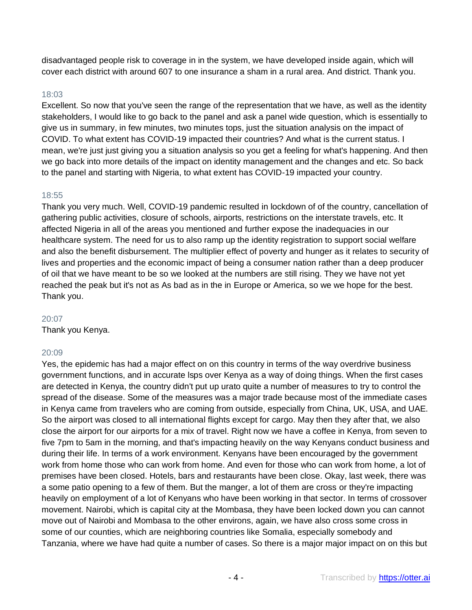disadvantaged people risk to coverage in in the system, we have developed inside again, which will cover each district with around 607 to one insurance a sham in a rural area. And district. Thank you.

#### 18:03

Excellent. So now that you've seen the range of the representation that we have, as well as the identity stakeholders, I would like to go back to the panel and ask a panel wide question, which is essentially to give us in summary, in few minutes, two minutes tops, just the situation analysis on the impact of COVID. To what extent has COVID-19 impacted their countries? And what is the current status. I mean, we're just just giving you a situation analysis so you get a feeling for what's happening. And then we go back into more details of the impact on identity management and the changes and etc. So back to the panel and starting with Nigeria, to what extent has COVID-19 impacted your country.

## 18:55

Thank you very much. Well, COVID-19 pandemic resulted in lockdown of of the country, cancellation of gathering public activities, closure of schools, airports, restrictions on the interstate travels, etc. It affected Nigeria in all of the areas you mentioned and further expose the inadequacies in our healthcare system. The need for us to also ramp up the identity registration to support social welfare and also the benefit disbursement. The multiplier effect of poverty and hunger as it relates to security of lives and properties and the economic impact of being a consumer nation rather than a deep producer of oil that we have meant to be so we looked at the numbers are still rising. They we have not yet reached the peak but it's not as As bad as in the in Europe or America, so we we hope for the best. Thank you.

#### 20:07

Thank you Kenya.

#### 20:09

Yes, the epidemic has had a major effect on on this country in terms of the way overdrive business government functions, and in accurate lsps over Kenya as a way of doing things. When the first cases are detected in Kenya, the country didn't put up urato quite a number of measures to try to control the spread of the disease. Some of the measures was a major trade because most of the immediate cases in Kenya came from travelers who are coming from outside, especially from China, UK, USA, and UAE. So the airport was closed to all international flights except for cargo. May then they after that, we also close the airport for our airports for a mix of travel. Right now we have a coffee in Kenya, from seven to five 7pm to 5am in the morning, and that's impacting heavily on the way Kenyans conduct business and during their life. In terms of a work environment. Kenyans have been encouraged by the government work from home those who can work from home. And even for those who can work from home, a lot of premises have been closed. Hotels, bars and restaurants have been close. Okay, last week, there was a some patio opening to a few of them. But the manger, a lot of them are cross or they're impacting heavily on employment of a lot of Kenyans who have been working in that sector. In terms of crossover movement. Nairobi, which is capital city at the Mombasa, they have been locked down you can cannot move out of Nairobi and Mombasa to the other environs, again, we have also cross some cross in some of our counties, which are neighboring countries like Somalia, especially somebody and Tanzania, where we have had quite a number of cases. So there is a major major impact on on this but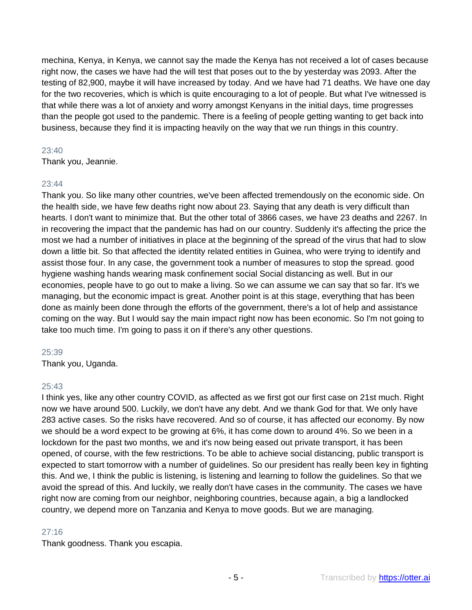mechina, Kenya, in Kenya, we cannot say the made the Kenya has not received a lot of cases because right now, the cases we have had the will test that poses out to the by yesterday was 2093. After the testing of 82,900, maybe it will have increased by today. And we have had 71 deaths. We have one day for the two recoveries, which is which is quite encouraging to a lot of people. But what I've witnessed is that while there was a lot of anxiety and worry amongst Kenyans in the initial days, time progresses than the people got used to the pandemic. There is a feeling of people getting wanting to get back into business, because they find it is impacting heavily on the way that we run things in this country.

## $23:40$

Thank you, Jeannie.

## 23:44

Thank you. So like many other countries, we've been affected tremendously on the economic side. On the health side, we have few deaths right now about 23. Saying that any death is very difficult than hearts. I don't want to minimize that. But the other total of 3866 cases, we have 23 deaths and 2267. In in recovering the impact that the pandemic has had on our country. Suddenly it's affecting the price the most we had a number of initiatives in place at the beginning of the spread of the virus that had to slow down a little bit. So that affected the identity related entities in Guinea, who were trying to identify and assist those four. In any case, the government took a number of measures to stop the spread. good hygiene washing hands wearing mask confinement social Social distancing as well. But in our economies, people have to go out to make a living. So we can assume we can say that so far. It's we managing, but the economic impact is great. Another point is at this stage, everything that has been done as mainly been done through the efforts of the government, there's a lot of help and assistance coming on the way. But I would say the main impact right now has been economic. So I'm not going to take too much time. I'm going to pass it on if there's any other questions.

#### 25:39

Thank you, Uganda.

#### 25:43

I think yes, like any other country COVID, as affected as we first got our first case on 21st much. Right now we have around 500. Luckily, we don't have any debt. And we thank God for that. We only have 283 active cases. So the risks have recovered. And so of course, it has affected our economy. By now we should be a word expect to be growing at 6%, it has come down to around 4%. So we been in a lockdown for the past two months, we and it's now being eased out private transport, it has been opened, of course, with the few restrictions. To be able to achieve social distancing, public transport is expected to start tomorrow with a number of guidelines. So our president has really been key in fighting this. And we, I think the public is listening, is listening and learning to follow the guidelines. So that we avoid the spread of this. And luckily, we really don't have cases in the community. The cases we have right now are coming from our neighbor, neighboring countries, because again, a big a landlocked country, we depend more on Tanzania and Kenya to move goods. But we are managing.

## 27:16

Thank goodness. Thank you escapia.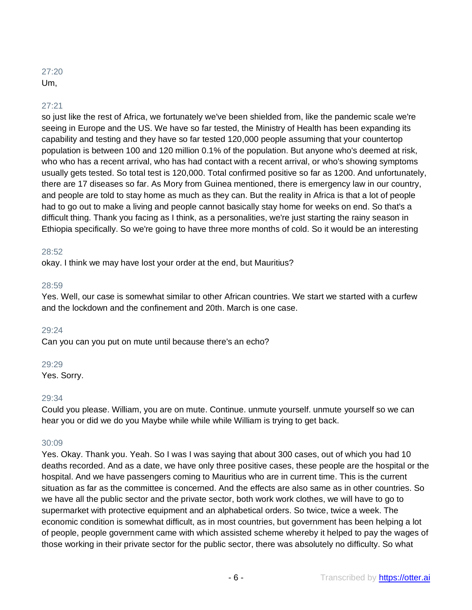## $27:20$ Um,

## 27:21

so just like the rest of Africa, we fortunately we've been shielded from, like the pandemic scale we're seeing in Europe and the US. We have so far tested, the Ministry of Health has been expanding its capability and testing and they have so far tested 120,000 people assuming that your countertop population is between 100 and 120 million 0.1% of the population. But anyone who's deemed at risk, who who has a recent arrival, who has had contact with a recent arrival, or who's showing symptoms usually gets tested. So total test is 120,000. Total confirmed positive so far as 1200. And unfortunately, there are 17 diseases so far. As Mory from Guinea mentioned, there is emergency law in our country, and people are told to stay home as much as they can. But the reality in Africa is that a lot of people had to go out to make a living and people cannot basically stay home for weeks on end. So that's a difficult thing. Thank you facing as I think, as a personalities, we're just starting the rainy season in Ethiopia specifically. So we're going to have three more months of cold. So it would be an interesting

#### 28:52

okay. I think we may have lost your order at the end, but Mauritius?

#### 28:59

Yes. Well, our case is somewhat similar to other African countries. We start we started with a curfew and the lockdown and the confinement and 20th. March is one case.

#### 29:24

Can you can you put on mute until because there's an echo?

#### 29:29

Yes. Sorry.

#### 29:34

Could you please. William, you are on mute. Continue. unmute yourself. unmute yourself so we can hear you or did we do you Maybe while while while William is trying to get back.

#### 30:09

Yes. Okay. Thank you. Yeah. So I was I was saying that about 300 cases, out of which you had 10 deaths recorded. And as a date, we have only three positive cases, these people are the hospital or the hospital. And we have passengers coming to Mauritius who are in current time. This is the current situation as far as the committee is concerned. And the effects are also same as in other countries. So we have all the public sector and the private sector, both work work clothes, we will have to go to supermarket with protective equipment and an alphabetical orders. So twice, twice a week. The economic condition is somewhat difficult, as in most countries, but government has been helping a lot of people, people government came with which assisted scheme whereby it helped to pay the wages of those working in their private sector for the public sector, there was absolutely no difficulty. So what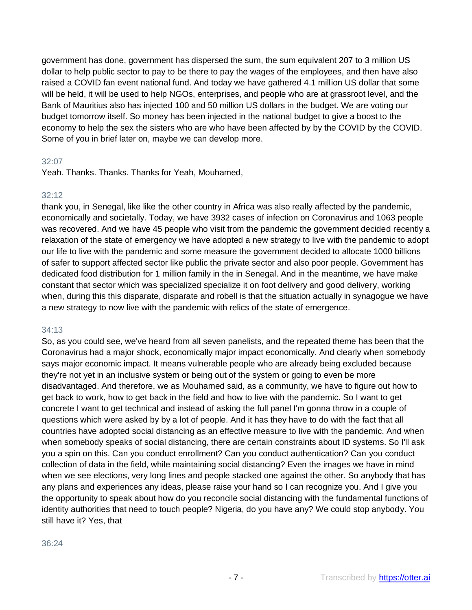government has done, government has dispersed the sum, the sum equivalent 207 to 3 million US dollar to help public sector to pay to be there to pay the wages of the employees, and then have also raised a COVID fan event national fund. And today we have gathered 4.1 million US dollar that some will be held, it will be used to help NGOs, enterprises, and people who are at grassroot level, and the Bank of Mauritius also has injected 100 and 50 million US dollars in the budget. We are voting our budget tomorrow itself. So money has been injected in the national budget to give a boost to the economy to help the sex the sisters who are who have been affected by by the COVID by the COVID. Some of you in brief later on, maybe we can develop more.

#### 32:07

Yeah. Thanks. Thanks. Thanks for Yeah, Mouhamed,

## 32:12

thank you, in Senegal, like like the other country in Africa was also really affected by the pandemic, economically and societally. Today, we have 3932 cases of infection on Coronavirus and 1063 people was recovered. And we have 45 people who visit from the pandemic the government decided recently a relaxation of the state of emergency we have adopted a new strategy to live with the pandemic to adopt our life to live with the pandemic and some measure the government decided to allocate 1000 billions of safer to support affected sector like public the private sector and also poor people. Government has dedicated food distribution for 1 million family in the in Senegal. And in the meantime, we have make constant that sector which was specialized specialize it on foot delivery and good delivery, working when, during this this disparate, disparate and robell is that the situation actually in synagogue we have a new strategy to now live with the pandemic with relics of the state of emergence.

## 34:13

So, as you could see, we've heard from all seven panelists, and the repeated theme has been that the Coronavirus had a major shock, economically major impact economically. And clearly when somebody says major economic impact. It means vulnerable people who are already being excluded because they're not yet in an inclusive system or being out of the system or going to even be more disadvantaged. And therefore, we as Mouhamed said, as a community, we have to figure out how to get back to work, how to get back in the field and how to live with the pandemic. So I want to get concrete I want to get technical and instead of asking the full panel I'm gonna throw in a couple of questions which were asked by by a lot of people. And it has they have to do with the fact that all countries have adopted social distancing as an effective measure to live with the pandemic. And when when somebody speaks of social distancing, there are certain constraints about ID systems. So I'll ask you a spin on this. Can you conduct enrollment? Can you conduct authentication? Can you conduct collection of data in the field, while maintaining social distancing? Even the images we have in mind when we see elections, very long lines and people stacked one against the other. So anybody that has any plans and experiences any ideas, please raise your hand so I can recognize you. And I give you the opportunity to speak about how do you reconcile social distancing with the fundamental functions of identity authorities that need to touch people? Nigeria, do you have any? We could stop anybody. You still have it? Yes, that

#### 36:24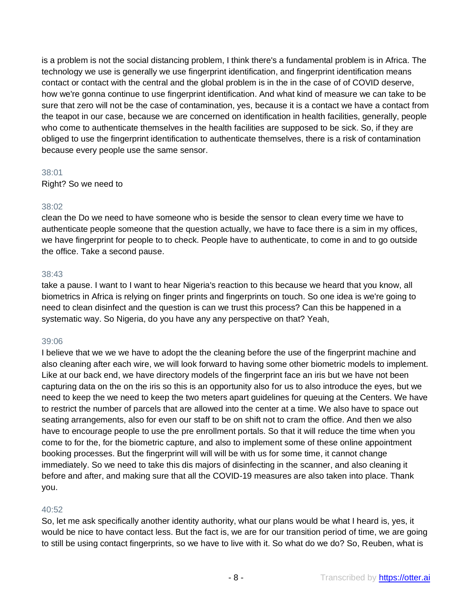is a problem is not the social distancing problem, I think there's a fundamental problem is in Africa. The technology we use is generally we use fingerprint identification, and fingerprint identification means contact or contact with the central and the global problem is in the in the case of of COVID deserve, how we're gonna continue to use fingerprint identification. And what kind of measure we can take to be sure that zero will not be the case of contamination, yes, because it is a contact we have a contact from the teapot in our case, because we are concerned on identification in health facilities, generally, people who come to authenticate themselves in the health facilities are supposed to be sick. So, if they are obliged to use the fingerprint identification to authenticate themselves, there is a risk of contamination because every people use the same sensor.

## 38:01

Right? So we need to

#### 38:02

clean the Do we need to have someone who is beside the sensor to clean every time we have to authenticate people someone that the question actually, we have to face there is a sim in my offices, we have fingerprint for people to to check. People have to authenticate, to come in and to go outside the office. Take a second pause.

## 38:43

take a pause. I want to I want to hear Nigeria's reaction to this because we heard that you know, all biometrics in Africa is relying on finger prints and fingerprints on touch. So one idea is we're going to need to clean disinfect and the question is can we trust this process? Can this be happened in a systematic way. So Nigeria, do you have any any perspective on that? Yeah,

## 39:06

I believe that we we we have to adopt the the cleaning before the use of the fingerprint machine and also cleaning after each wire, we will look forward to having some other biometric models to implement. Like at our back end, we have directory models of the fingerprint face an iris but we have not been capturing data on the on the iris so this is an opportunity also for us to also introduce the eyes, but we need to keep the we need to keep the two meters apart guidelines for queuing at the Centers. We have to restrict the number of parcels that are allowed into the center at a time. We also have to space out seating arrangements, also for even our staff to be on shift not to cram the office. And then we also have to encourage people to use the pre enrollment portals. So that it will reduce the time when you come to for the, for the biometric capture, and also to implement some of these online appointment booking processes. But the fingerprint will will will be with us for some time, it cannot change immediately. So we need to take this dis majors of disinfecting in the scanner, and also cleaning it before and after, and making sure that all the COVID-19 measures are also taken into place. Thank you.

## 40:52

So, let me ask specifically another identity authority, what our plans would be what I heard is, yes, it would be nice to have contact less. But the fact is, we are for our transition period of time, we are going to still be using contact fingerprints, so we have to live with it. So what do we do? So, Reuben, what is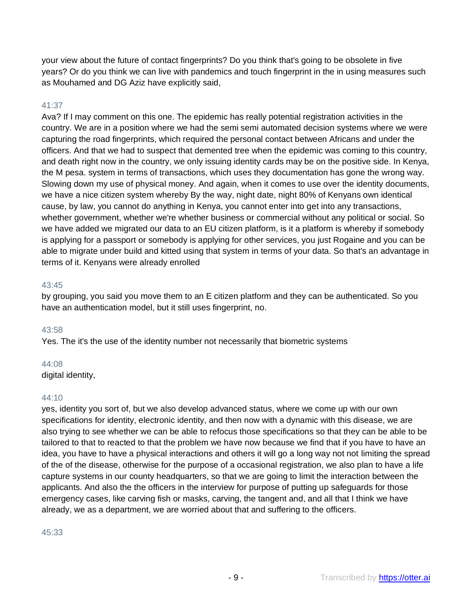your view about the future of contact fingerprints? Do you think that's going to be obsolete in five years? Or do you think we can live with pandemics and touch fingerprint in the in using measures such as Mouhamed and DG Aziz have explicitly said,

## 41:37

Ava? If I may comment on this one. The epidemic has really potential registration activities in the country. We are in a position where we had the semi semi automated decision systems where we were capturing the road fingerprints, which required the personal contact between Africans and under the officers. And that we had to suspect that demented tree when the epidemic was coming to this country, and death right now in the country, we only issuing identity cards may be on the positive side. In Kenya, the M pesa. system in terms of transactions, which uses they documentation has gone the wrong way. Slowing down my use of physical money. And again, when it comes to use over the identity documents, we have a nice citizen system whereby By the way, night date, night 80% of Kenyans own identical cause, by law, you cannot do anything in Kenya, you cannot enter into get into any transactions, whether government, whether we're whether business or commercial without any political or social. So we have added we migrated our data to an EU citizen platform, is it a platform is whereby if somebody is applying for a passport or somebody is applying for other services, you just Rogaine and you can be able to migrate under build and kitted using that system in terms of your data. So that's an advantage in terms of it. Kenyans were already enrolled

#### 43:45

by grouping, you said you move them to an E citizen platform and they can be authenticated. So you have an authentication model, but it still uses fingerprint, no.

#### 43:58

Yes. The it's the use of the identity number not necessarily that biometric systems

#### 44:08

digital identity,

#### 44:10

yes, identity you sort of, but we also develop advanced status, where we come up with our own specifications for identity, electronic identity, and then now with a dynamic with this disease, we are also trying to see whether we can be able to refocus those specifications so that they can be able to be tailored to that to reacted to that the problem we have now because we find that if you have to have an idea, you have to have a physical interactions and others it will go a long way not not limiting the spread of the of the disease, otherwise for the purpose of a occasional registration, we also plan to have a life capture systems in our county headquarters, so that we are going to limit the interaction between the applicants. And also the the officers in the interview for purpose of putting up safeguards for those emergency cases, like carving fish or masks, carving, the tangent and, and all that I think we have already, we as a department, we are worried about that and suffering to the officers.

#### 45:33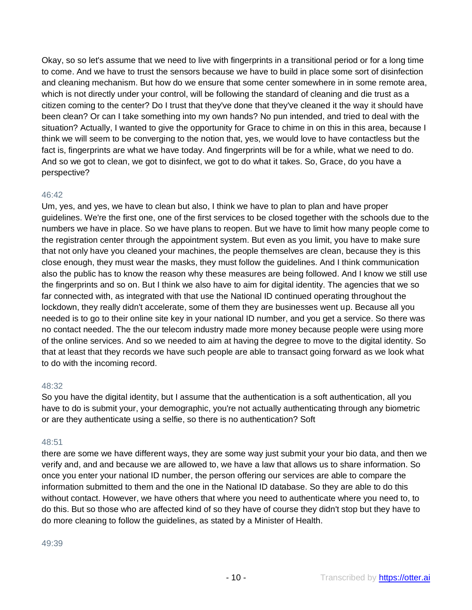Okay, so so let's assume that we need to live with fingerprints in a transitional period or for a long time to come. And we have to trust the sensors because we have to build in place some sort of disinfection and cleaning mechanism. But how do we ensure that some center somewhere in in some remote area, which is not directly under your control, will be following the standard of cleaning and die trust as a citizen coming to the center? Do I trust that they've done that they've cleaned it the way it should have been clean? Or can I take something into my own hands? No pun intended, and tried to deal with the situation? Actually, I wanted to give the opportunity for Grace to chime in on this in this area, because I think we will seem to be converging to the notion that, yes, we would love to have contactless but the fact is, fingerprints are what we have today. And fingerprints will be for a while, what we need to do. And so we got to clean, we got to disinfect, we got to do what it takes. So, Grace, do you have a perspective?

## 46:42

Um, yes, and yes, we have to clean but also, I think we have to plan to plan and have proper guidelines. We're the first one, one of the first services to be closed together with the schools due to the numbers we have in place. So we have plans to reopen. But we have to limit how many people come to the registration center through the appointment system. But even as you limit, you have to make sure that not only have you cleaned your machines, the people themselves are clean, because they is this close enough, they must wear the masks, they must follow the guidelines. And I think communication also the public has to know the reason why these measures are being followed. And I know we still use the fingerprints and so on. But I think we also have to aim for digital identity. The agencies that we so far connected with, as integrated with that use the National ID continued operating throughout the lockdown, they really didn't accelerate, some of them they are businesses went up. Because all you needed is to go to their online site key in your national ID number, and you get a service. So there was no contact needed. The the our telecom industry made more money because people were using more of the online services. And so we needed to aim at having the degree to move to the digital identity. So that at least that they records we have such people are able to transact going forward as we look what to do with the incoming record.

#### 48:32

So you have the digital identity, but I assume that the authentication is a soft authentication, all you have to do is submit your, your demographic, you're not actually authenticating through any biometric or are they authenticate using a selfie, so there is no authentication? Soft

## 48:51

there are some we have different ways, they are some way just submit your your bio data, and then we verify and, and and because we are allowed to, we have a law that allows us to share information. So once you enter your national ID number, the person offering our services are able to compare the information submitted to them and the one in the National ID database. So they are able to do this without contact. However, we have others that where you need to authenticate where you need to, to do this. But so those who are affected kind of so they have of course they didn't stop but they have to do more cleaning to follow the guidelines, as stated by a Minister of Health.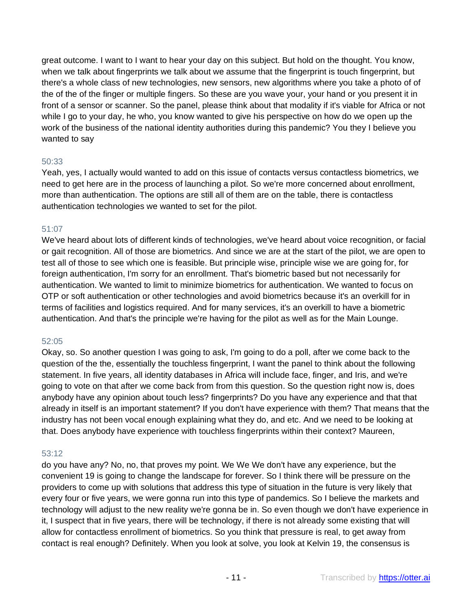great outcome. I want to I want to hear your day on this subject. But hold on the thought. You know, when we talk about fingerprints we talk about we assume that the fingerprint is touch fingerprint, but there's a whole class of new technologies, new sensors, new algorithms where you take a photo of of the of the of the finger or multiple fingers. So these are you wave your, your hand or you present it in front of a sensor or scanner. So the panel, please think about that modality if it's viable for Africa or not while I go to your day, he who, you know wanted to give his perspective on how do we open up the work of the business of the national identity authorities during this pandemic? You they I believe you wanted to say

#### 50:33

Yeah, yes, I actually would wanted to add on this issue of contacts versus contactless biometrics, we need to get here are in the process of launching a pilot. So we're more concerned about enrollment, more than authentication. The options are still all of them are on the table, there is contactless authentication technologies we wanted to set for the pilot.

## 51:07

We've heard about lots of different kinds of technologies, we've heard about voice recognition, or facial or gait recognition. All of those are biometrics. And since we are at the start of the pilot, we are open to test all of those to see which one is feasible. But principle wise, principle wise we are going for, for foreign authentication, I'm sorry for an enrollment. That's biometric based but not necessarily for authentication. We wanted to limit to minimize biometrics for authentication. We wanted to focus on OTP or soft authentication or other technologies and avoid biometrics because it's an overkill for in terms of facilities and logistics required. And for many services, it's an overkill to have a biometric authentication. And that's the principle we're having for the pilot as well as for the Main Lounge.

## 52:05

Okay, so. So another question I was going to ask, I'm going to do a poll, after we come back to the question of the the, essentially the touchless fingerprint, I want the panel to think about the following statement. In five years, all identity databases in Africa will include face, finger, and Iris, and we're going to vote on that after we come back from from this question. So the question right now is, does anybody have any opinion about touch less? fingerprints? Do you have any experience and that that already in itself is an important statement? If you don't have experience with them? That means that the industry has not been vocal enough explaining what they do, and etc. And we need to be looking at that. Does anybody have experience with touchless fingerprints within their context? Maureen,

## 53:12

do you have any? No, no, that proves my point. We We We don't have any experience, but the convenient 19 is going to change the landscape for forever. So I think there will be pressure on the providers to come up with solutions that address this type of situation in the future is very likely that every four or five years, we were gonna run into this type of pandemics. So I believe the markets and technology will adjust to the new reality we're gonna be in. So even though we don't have experience in it, I suspect that in five years, there will be technology, if there is not already some existing that will allow for contactless enrollment of biometrics. So you think that pressure is real, to get away from contact is real enough? Definitely. When you look at solve, you look at Kelvin 19, the consensus is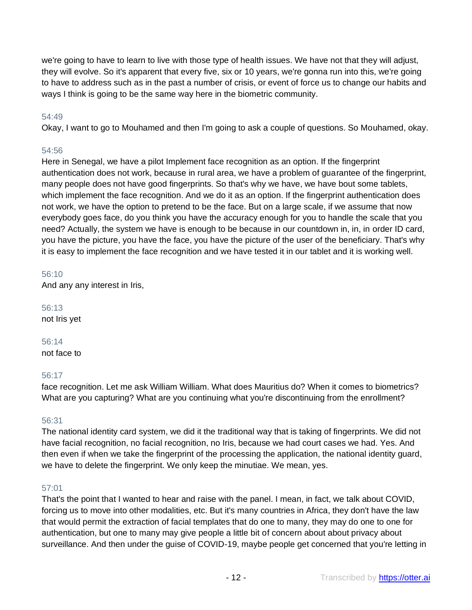we're going to have to learn to live with those type of health issues. We have not that they will adjust, they will evolve. So it's apparent that every five, six or 10 years, we're gonna run into this, we're going to have to address such as in the past a number of crisis, or event of force us to change our habits and ways I think is going to be the same way here in the biometric community.

## 54:49

Okay, I want to go to Mouhamed and then I'm going to ask a couple of questions. So Mouhamed, okay.

## 54:56

Here in Senegal, we have a pilot Implement face recognition as an option. If the fingerprint authentication does not work, because in rural area, we have a problem of guarantee of the fingerprint, many people does not have good fingerprints. So that's why we have, we have bout some tablets, which implement the face recognition. And we do it as an option. If the fingerprint authentication does not work, we have the option to pretend to be the face. But on a large scale, if we assume that now everybody goes face, do you think you have the accuracy enough for you to handle the scale that you need? Actually, the system we have is enough to be because in our countdown in, in, in order ID card, you have the picture, you have the face, you have the picture of the user of the beneficiary. That's why it is easy to implement the face recognition and we have tested it in our tablet and it is working well.

56:10 And any any interest in Iris,

56:13 not Iris yet

56:14 not face to

## 56:17

face recognition. Let me ask William William. What does Mauritius do? When it comes to biometrics? What are you capturing? What are you continuing what you're discontinuing from the enrollment?

#### 56:31

The national identity card system, we did it the traditional way that is taking of fingerprints. We did not have facial recognition, no facial recognition, no Iris, because we had court cases we had. Yes. And then even if when we take the fingerprint of the processing the application, the national identity guard, we have to delete the fingerprint. We only keep the minutiae. We mean, yes.

## 57:01

That's the point that I wanted to hear and raise with the panel. I mean, in fact, we talk about COVID, forcing us to move into other modalities, etc. But it's many countries in Africa, they don't have the law that would permit the extraction of facial templates that do one to many, they may do one to one for authentication, but one to many may give people a little bit of concern about about privacy about surveillance. And then under the guise of COVID-19, maybe people get concerned that you're letting in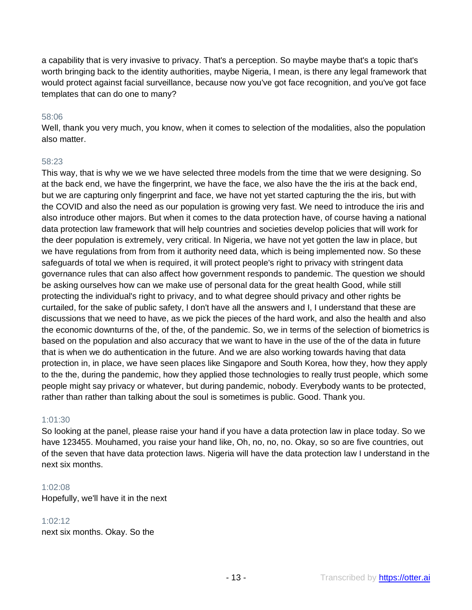a capability that is very invasive to privacy. That's a perception. So maybe maybe that's a topic that's worth bringing back to the identity authorities, maybe Nigeria, I mean, is there any legal framework that would protect against facial surveillance, because now you've got face recognition, and you've got face templates that can do one to many?

#### 58:06

Well, thank you very much, you know, when it comes to selection of the modalities, also the population also matter.

#### 58:23

This way, that is why we we we have selected three models from the time that we were designing. So at the back end, we have the fingerprint, we have the face, we also have the the iris at the back end, but we are capturing only fingerprint and face, we have not yet started capturing the the iris, but with the COVID and also the need as our population is growing very fast. We need to introduce the iris and also introduce other majors. But when it comes to the data protection have, of course having a national data protection law framework that will help countries and societies develop policies that will work for the deer population is extremely, very critical. In Nigeria, we have not yet gotten the law in place, but we have regulations from from from it authority need data, which is being implemented now. So these safeguards of total we when is required, it will protect people's right to privacy with stringent data governance rules that can also affect how government responds to pandemic. The question we should be asking ourselves how can we make use of personal data for the great health Good, while still protecting the individual's right to privacy, and to what degree should privacy and other rights be curtailed, for the sake of public safety, I don't have all the answers and I, I understand that these are discussions that we need to have, as we pick the pieces of the hard work, and also the health and also the economic downturns of the, of the, of the pandemic. So, we in terms of the selection of biometrics is based on the population and also accuracy that we want to have in the use of the of the data in future that is when we do authentication in the future. And we are also working towards having that data protection in, in place, we have seen places like Singapore and South Korea, how they, how they apply to the the, during the pandemic, how they applied those technologies to really trust people, which some people might say privacy or whatever, but during pandemic, nobody. Everybody wants to be protected, rather than rather than talking about the soul is sometimes is public. Good. Thank you.

#### 1:01:30

So looking at the panel, please raise your hand if you have a data protection law in place today. So we have 123455. Mouhamed, you raise your hand like, Oh, no, no, no. Okay, so so are five countries, out of the seven that have data protection laws. Nigeria will have the data protection law I understand in the next six months.

#### 1:02:08

Hopefully, we'll have it in the next

#### 1:02:12

next six months. Okay. So the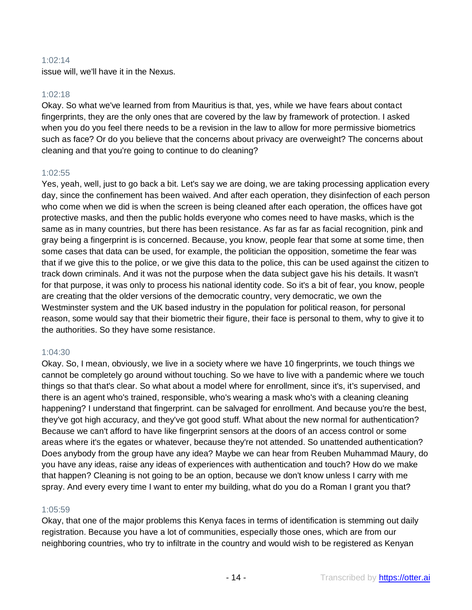#### 1:02:14

issue will, we'll have it in the Nexus.

#### 1:02:18

Okay. So what we've learned from from Mauritius is that, yes, while we have fears about contact fingerprints, they are the only ones that are covered by the law by framework of protection. I asked when you do you feel there needs to be a revision in the law to allow for more permissive biometrics such as face? Or do you believe that the concerns about privacy are overweight? The concerns about cleaning and that you're going to continue to do cleaning?

#### 1:02:55

Yes, yeah, well, just to go back a bit. Let's say we are doing, we are taking processing application every day, since the confinement has been waived. And after each operation, they disinfection of each person who come when we did is when the screen is being cleaned after each operation, the offices have got protective masks, and then the public holds everyone who comes need to have masks, which is the same as in many countries, but there has been resistance. As far as far as facial recognition, pink and gray being a fingerprint is is concerned. Because, you know, people fear that some at some time, then some cases that data can be used, for example, the politician the opposition, sometime the fear was that if we give this to the police, or we give this data to the police, this can be used against the citizen to track down criminals. And it was not the purpose when the data subject gave his his details. It wasn't for that purpose, it was only to process his national identity code. So it's a bit of fear, you know, people are creating that the older versions of the democratic country, very democratic, we own the Westminster system and the UK based industry in the population for political reason, for personal reason, some would say that their biometric their figure, their face is personal to them, why to give it to the authorities. So they have some resistance.

#### 1:04:30

Okay. So, I mean, obviously, we live in a society where we have 10 fingerprints, we touch things we cannot be completely go around without touching. So we have to live with a pandemic where we touch things so that that's clear. So what about a model where for enrollment, since it's, it's supervised, and there is an agent who's trained, responsible, who's wearing a mask who's with a cleaning cleaning happening? I understand that fingerprint. can be salvaged for enrollment. And because you're the best, they've got high accuracy, and they've got good stuff. What about the new normal for authentication? Because we can't afford to have like fingerprint sensors at the doors of an access control or some areas where it's the egates or whatever, because they're not attended. So unattended authentication? Does anybody from the group have any idea? Maybe we can hear from Reuben Muhammad Maury, do you have any ideas, raise any ideas of experiences with authentication and touch? How do we make that happen? Cleaning is not going to be an option, because we don't know unless I carry with me spray. And every every time I want to enter my building, what do you do a Roman I grant you that?

#### 1:05:59

Okay, that one of the major problems this Kenya faces in terms of identification is stemming out daily registration. Because you have a lot of communities, especially those ones, which are from our neighboring countries, who try to infiltrate in the country and would wish to be registered as Kenyan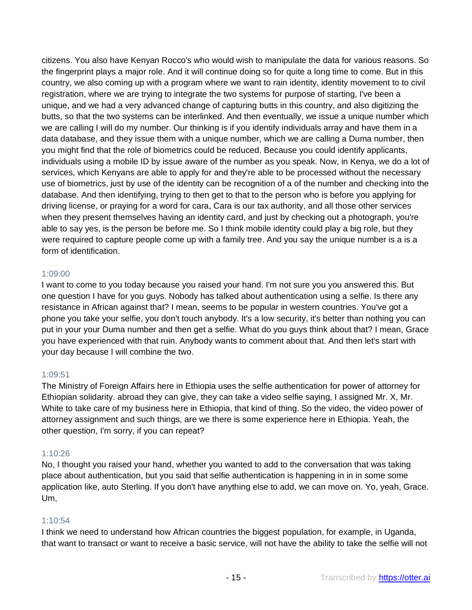citizens. You also have Kenyan Rocco's who would wish to manipulate the data for various reasons. So the fingerprint plays a major role. And it will continue doing so for quite a long time to come. But in this country, we also coming up with a program where we want to rain identity, identity movement to to civil registration, where we are trying to integrate the two systems for purpose of starting, I've been a unique, and we had a very advanced change of capturing butts in this country, and also digitizing the butts, so that the two systems can be interlinked. And then eventually, we issue a unique number which we are calling I will do my number. Our thinking is if you identify individuals array and have them in a data database, and they issue them with a unique number, which we are calling a Duma number, then you might find that the role of biometrics could be reduced. Because you could identify applicants, individuals using a mobile ID by issue aware of the number as you speak. Now, in Kenya, we do a lot of services, which Kenyans are able to apply for and they're able to be processed without the necessary use of biometrics, just by use of the identity can be recognition of a of the number and checking into the database. And then identifying, trying to then get to that to the person who is before you applying for driving license, or praying for a word for cara, Cara is our tax authority, and all those other services when they present themselves having an identity card, and just by checking out a photograph, you're able to say yes, is the person be before me. So I think mobile identity could play a big role, but they were required to capture people come up with a family tree. And you say the unique number is a is a form of identification.

#### 1:09:00

I want to come to you today because you raised your hand. I'm not sure you you answered this. But one question I have for you guys. Nobody has talked about authentication using a selfie. Is there any resistance in African against that? I mean, seems to be popular in western countries. You've got a phone you take your selfie, you don't touch anybody. It's a low security, it's better than nothing you can put in your your Duma number and then get a selfie. What do you guys think about that? I mean, Grace you have experienced with that ruin. Anybody wants to comment about that. And then let's start with your day because I will combine the two.

## 1:09:51

The Ministry of Foreign Affairs here in Ethiopia uses the selfie authentication for power of attorney for Ethiopian solidarity. abroad they can give, they can take a video selfie saying, I assigned Mr. X, Mr. White to take care of my business here in Ethiopia, that kind of thing. So the video, the video power of attorney assignment and such things, are we there is some experience here in Ethiopia. Yeah, the other question, I'm sorry, if you can repeat?

## 1:10:26

No, I thought you raised your hand, whether you wanted to add to the conversation that was taking place about authentication, but you said that selfie authentication is happening in in in some some application like, auto Sterling. If you don't have anything else to add, we can move on. Yo, yeah, Grace. Um,

## 1:10:54

I think we need to understand how African countries the biggest population, for example, in Uganda, that want to transact or want to receive a basic service, will not have the ability to take the selfie will not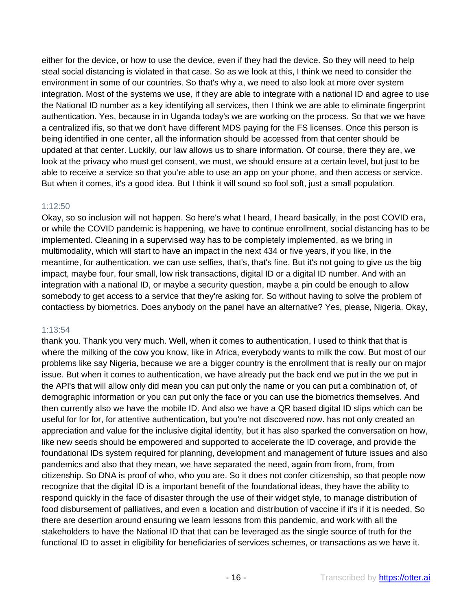either for the device, or how to use the device, even if they had the device. So they will need to help steal social distancing is violated in that case. So as we look at this, I think we need to consider the environment in some of our countries. So that's why a, we need to also look at more over system integration. Most of the systems we use, if they are able to integrate with a national ID and agree to use the National ID number as a key identifying all services, then I think we are able to eliminate fingerprint authentication. Yes, because in in Uganda today's we are working on the process. So that we we have a centralized ifis, so that we don't have different MDS paying for the FS licenses. Once this person is being identified in one center, all the information should be accessed from that center should be updated at that center. Luckily, our law allows us to share information. Of course, there they are, we look at the privacy who must get consent, we must, we should ensure at a certain level, but just to be able to receive a service so that you're able to use an app on your phone, and then access or service. But when it comes, it's a good idea. But I think it will sound so fool soft, just a small population.

#### 1:12:50

Okay, so so inclusion will not happen. So here's what I heard, I heard basically, in the post COVID era, or while the COVID pandemic is happening, we have to continue enrollment, social distancing has to be implemented. Cleaning in a supervised way has to be completely implemented, as we bring in multimodality, which will start to have an impact in the next 434 or five years, if you like, in the meantime, for authentication, we can use selfies, that's, that's fine. But it's not going to give us the big impact, maybe four, four small, low risk transactions, digital ID or a digital ID number. And with an integration with a national ID, or maybe a security question, maybe a pin could be enough to allow somebody to get access to a service that they're asking for. So without having to solve the problem of contactless by biometrics. Does anybody on the panel have an alternative? Yes, please, Nigeria. Okay,

#### 1:13:54

thank you. Thank you very much. Well, when it comes to authentication, I used to think that that is where the milking of the cow you know, like in Africa, everybody wants to milk the cow. But most of our problems like say Nigeria, because we are a bigger country is the enrollment that is really our on major issue. But when it comes to authentication, we have already put the back end we put in the we put in the API's that will allow only did mean you can put only the name or you can put a combination of, of demographic information or you can put only the face or you can use the biometrics themselves. And then currently also we have the mobile ID. And also we have a QR based digital ID slips which can be useful for for for, for attentive authentication, but you're not discovered now. has not only created an appreciation and value for the inclusive digital identity, but it has also sparked the conversation on how, like new seeds should be empowered and supported to accelerate the ID coverage, and provide the foundational IDs system required for planning, development and management of future issues and also pandemics and also that they mean, we have separated the need, again from from, from, from citizenship. So DNA is proof of who, who you are. So it does not confer citizenship, so that people now recognize that the digital ID is a important benefit of the foundational ideas, they have the ability to respond quickly in the face of disaster through the use of their widget style, to manage distribution of food disbursement of palliatives, and even a location and distribution of vaccine if it's if it is needed. So there are desertion around ensuring we learn lessons from this pandemic, and work with all the stakeholders to have the National ID that that can be leveraged as the single source of truth for the functional ID to asset in eligibility for beneficiaries of services schemes, or transactions as we have it.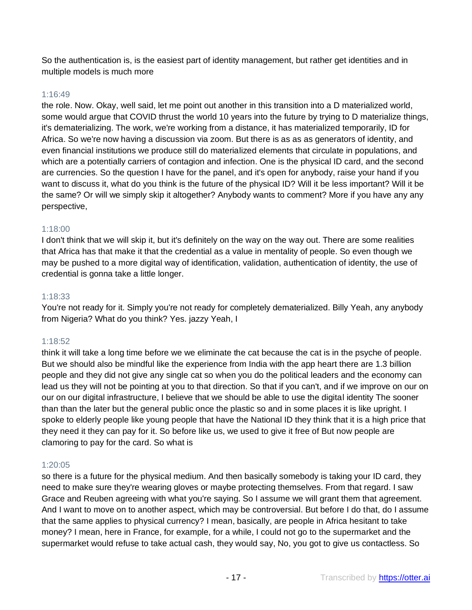So the authentication is, is the easiest part of identity management, but rather get identities and in multiple models is much more

#### 1:16:49

the role. Now. Okay, well said, let me point out another in this transition into a D materialized world, some would argue that COVID thrust the world 10 years into the future by trying to D materialize things, it's dematerializing. The work, we're working from a distance, it has materialized temporarily, ID for Africa. So we're now having a discussion via zoom. But there is as as as generators of identity, and even financial institutions we produce still do materialized elements that circulate in populations, and which are a potentially carriers of contagion and infection. One is the physical ID card, and the second are currencies. So the question I have for the panel, and it's open for anybody, raise your hand if you want to discuss it, what do you think is the future of the physical ID? Will it be less important? Will it be the same? Or will we simply skip it altogether? Anybody wants to comment? More if you have any any perspective,

## 1:18:00

I don't think that we will skip it, but it's definitely on the way on the way out. There are some realities that Africa has that make it that the credential as a value in mentality of people. So even though we may be pushed to a more digital way of identification, validation, authentication of identity, the use of credential is gonna take a little longer.

## 1:18:33

You're not ready for it. Simply you're not ready for completely dematerialized. Billy Yeah, any anybody from Nigeria? What do you think? Yes. jazzy Yeah, I

## 1:18:52

think it will take a long time before we we eliminate the cat because the cat is in the psyche of people. But we should also be mindful like the experience from India with the app heart there are 1.3 billion people and they did not give any single cat so when you do the political leaders and the economy can lead us they will not be pointing at you to that direction. So that if you can't, and if we improve on our on our on our digital infrastructure, I believe that we should be able to use the digital identity The sooner than than the later but the general public once the plastic so and in some places it is like upright. I spoke to elderly people like young people that have the National ID they think that it is a high price that they need it they can pay for it. So before like us, we used to give it free of But now people are clamoring to pay for the card. So what is

## 1:20:05

so there is a future for the physical medium. And then basically somebody is taking your ID card, they need to make sure they're wearing gloves or maybe protecting themselves. From that regard. I saw Grace and Reuben agreeing with what you're saying. So I assume we will grant them that agreement. And I want to move on to another aspect, which may be controversial. But before I do that, do I assume that the same applies to physical currency? I mean, basically, are people in Africa hesitant to take money? I mean, here in France, for example, for a while, I could not go to the supermarket and the supermarket would refuse to take actual cash, they would say, No, you got to give us contactless. So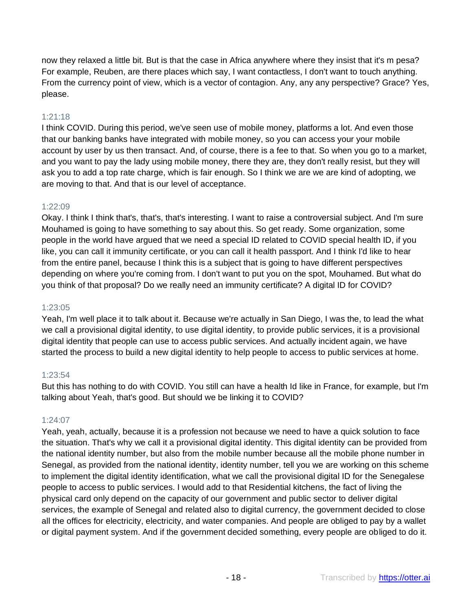now they relaxed a little bit. But is that the case in Africa anywhere where they insist that it's m pesa? For example, Reuben, are there places which say, I want contactless, I don't want to touch anything. From the currency point of view, which is a vector of contagion. Any, any any perspective? Grace? Yes, please.

## 1:21:18

I think COVID. During this period, we've seen use of mobile money, platforms a lot. And even those that our banking banks have integrated with mobile money, so you can access your your mobile account by user by us then transact. And, of course, there is a fee to that. So when you go to a market, and you want to pay the lady using mobile money, there they are, they don't really resist, but they will ask you to add a top rate charge, which is fair enough. So I think we are we are kind of adopting, we are moving to that. And that is our level of acceptance.

## 1:22:09

Okay. I think I think that's, that's, that's interesting. I want to raise a controversial subject. And I'm sure Mouhamed is going to have something to say about this. So get ready. Some organization, some people in the world have argued that we need a special ID related to COVID special health ID, if you like, you can call it immunity certificate, or you can call it health passport. And I think I'd like to hear from the entire panel, because I think this is a subject that is going to have different perspectives depending on where you're coming from. I don't want to put you on the spot, Mouhamed. But what do you think of that proposal? Do we really need an immunity certificate? A digital ID for COVID?

## 1:23:05

Yeah, I'm well place it to talk about it. Because we're actually in San Diego, I was the, to lead the what we call a provisional digital identity, to use digital identity, to provide public services, it is a provisional digital identity that people can use to access public services. And actually incident again, we have started the process to build a new digital identity to help people to access to public services at home.

#### 1:23:54

But this has nothing to do with COVID. You still can have a health Id like in France, for example, but I'm talking about Yeah, that's good. But should we be linking it to COVID?

## 1:24:07

Yeah, yeah, actually, because it is a profession not because we need to have a quick solution to face the situation. That's why we call it a provisional digital identity. This digital identity can be provided from the national identity number, but also from the mobile number because all the mobile phone number in Senegal, as provided from the national identity, identity number, tell you we are working on this scheme to implement the digital identity identification, what we call the provisional digital ID for the Senegalese people to access to public services. I would add to that Residential kitchens, the fact of living the physical card only depend on the capacity of our government and public sector to deliver digital services, the example of Senegal and related also to digital currency, the government decided to close all the offices for electricity, electricity, and water companies. And people are obliged to pay by a wallet or digital payment system. And if the government decided something, every people are obliged to do it.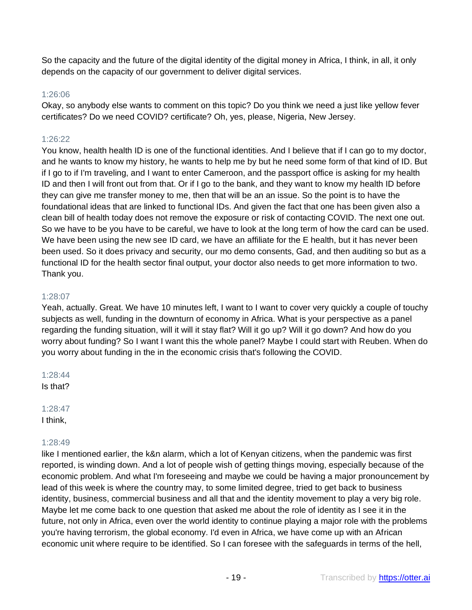So the capacity and the future of the digital identity of the digital money in Africa, I think, in all, it only depends on the capacity of our government to deliver digital services.

#### 1:26:06

Okay, so anybody else wants to comment on this topic? Do you think we need a just like yellow fever certificates? Do we need COVID? certificate? Oh, yes, please, Nigeria, New Jersey.

## 1:26:22

You know, health health ID is one of the functional identities. And I believe that if I can go to my doctor, and he wants to know my history, he wants to help me by but he need some form of that kind of ID. But if I go to if I'm traveling, and I want to enter Cameroon, and the passport office is asking for my health ID and then I will front out from that. Or if I go to the bank, and they want to know my health ID before they can give me transfer money to me, then that will be an an issue. So the point is to have the foundational ideas that are linked to functional IDs. And given the fact that one has been given also a clean bill of health today does not remove the exposure or risk of contacting COVID. The next one out. So we have to be you have to be careful, we have to look at the long term of how the card can be used. We have been using the new see ID card, we have an affiliate for the E health, but it has never been been used. So it does privacy and security, our mo demo consents, Gad, and then auditing so but as a functional ID for the health sector final output, your doctor also needs to get more information to two. Thank you.

#### 1:28:07

Yeah, actually. Great. We have 10 minutes left, I want to I want to cover very quickly a couple of touchy subjects as well, funding in the downturn of economy in Africa. What is your perspective as a panel regarding the funding situation, will it will it stay flat? Will it go up? Will it go down? And how do you worry about funding? So I want I want this the whole panel? Maybe I could start with Reuben. When do you worry about funding in the in the economic crisis that's following the COVID.

1:28:44 Is that?

#### 1:28:47 I think,

#### 1:28:49

like I mentioned earlier, the k&n alarm, which a lot of Kenyan citizens, when the pandemic was first reported, is winding down. And a lot of people wish of getting things moving, especially because of the economic problem. And what I'm foreseeing and maybe we could be having a major pronouncement by lead of this week is where the country may, to some limited degree, tried to get back to business identity, business, commercial business and all that and the identity movement to play a very big role. Maybe let me come back to one question that asked me about the role of identity as I see it in the future, not only in Africa, even over the world identity to continue playing a major role with the problems you're having terrorism, the global economy. I'd even in Africa, we have come up with an African economic unit where require to be identified. So I can foresee with the safeguards in terms of the hell,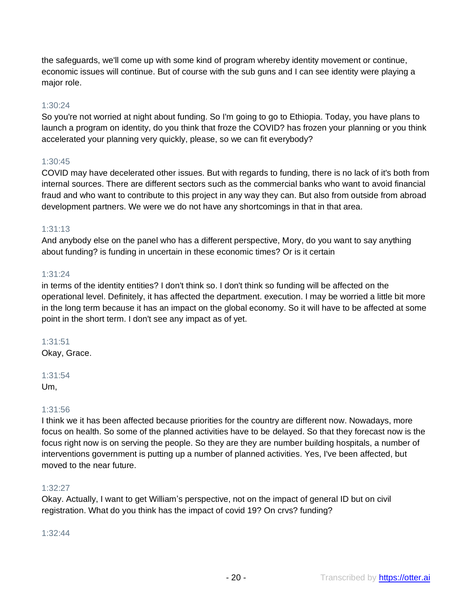the safeguards, we'll come up with some kind of program whereby identity movement or continue, economic issues will continue. But of course with the sub guns and I can see identity were playing a major role.

## 1:30:24

So you're not worried at night about funding. So I'm going to go to Ethiopia. Today, you have plans to launch a program on identity, do you think that froze the COVID? has frozen your planning or you think accelerated your planning very quickly, please, so we can fit everybody?

## 1:30:45

COVID may have decelerated other issues. But with regards to funding, there is no lack of it's both from internal sources. There are different sectors such as the commercial banks who want to avoid financial fraud and who want to contribute to this project in any way they can. But also from outside from abroad development partners. We were we do not have any shortcomings in that in that area.

## 1:31:13

And anybody else on the panel who has a different perspective, Mory, do you want to say anything about funding? is funding in uncertain in these economic times? Or is it certain

## 1:31:24

in terms of the identity entities? I don't think so. I don't think so funding will be affected on the operational level. Definitely, it has affected the department. execution. I may be worried a little bit more in the long term because it has an impact on the global economy. So it will have to be affected at some point in the short term. I don't see any impact as of yet.

## 1:31:51

Okay, Grace.

# 1:31:54

Um,

## 1:31:56

I think we it has been affected because priorities for the country are different now. Nowadays, more focus on health. So some of the planned activities have to be delayed. So that they forecast now is the focus right now is on serving the people. So they are they are number building hospitals, a number of interventions government is putting up a number of planned activities. Yes, I've been affected, but moved to the near future.

#### 1:32:27

Okay. Actually, I want to get William's perspective, not on the impact of general ID but on civil registration. What do you think has the impact of covid 19? On crvs? funding?

#### 1:32:44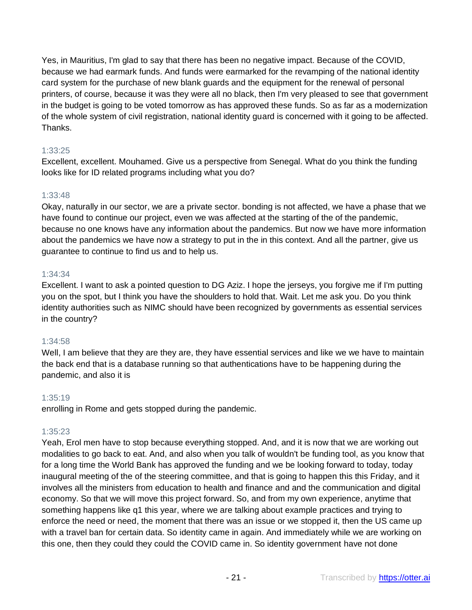Yes, in Mauritius, I'm glad to say that there has been no negative impact. Because of the COVID, because we had earmark funds. And funds were earmarked for the revamping of the national identity card system for the purchase of new blank guards and the equipment for the renewal of personal printers, of course, because it was they were all no black, then I'm very pleased to see that government in the budget is going to be voted tomorrow as has approved these funds. So as far as a modernization of the whole system of civil registration, national identity guard is concerned with it going to be affected. Thanks.

## 1:33:25

Excellent, excellent. Mouhamed. Give us a perspective from Senegal. What do you think the funding looks like for ID related programs including what you do?

## 1:33:48

Okay, naturally in our sector, we are a private sector. bonding is not affected, we have a phase that we have found to continue our project, even we was affected at the starting of the of the pandemic, because no one knows have any information about the pandemics. But now we have more information about the pandemics we have now a strategy to put in the in this context. And all the partner, give us guarantee to continue to find us and to help us.

## 1:34:34

Excellent. I want to ask a pointed question to DG Aziz. I hope the jerseys, you forgive me if I'm putting you on the spot, but I think you have the shoulders to hold that. Wait. Let me ask you. Do you think identity authorities such as NIMC should have been recognized by governments as essential services in the country?

## 1:34:58

Well, I am believe that they are they are, they have essential services and like we we have to maintain the back end that is a database running so that authentications have to be happening during the pandemic, and also it is

## 1:35:19

enrolling in Rome and gets stopped during the pandemic.

## 1:35:23

Yeah, Erol men have to stop because everything stopped. And, and it is now that we are working out modalities to go back to eat. And, and also when you talk of wouldn't be funding tool, as you know that for a long time the World Bank has approved the funding and we be looking forward to today, today inaugural meeting of the of the steering committee, and that is going to happen this this Friday, and it involves all the ministers from education to health and finance and and the communication and digital economy. So that we will move this project forward. So, and from my own experience, anytime that something happens like q1 this year, where we are talking about example practices and trying to enforce the need or need, the moment that there was an issue or we stopped it, then the US came up with a travel ban for certain data. So identity came in again. And immediately while we are working on this one, then they could they could the COVID came in. So identity government have not done